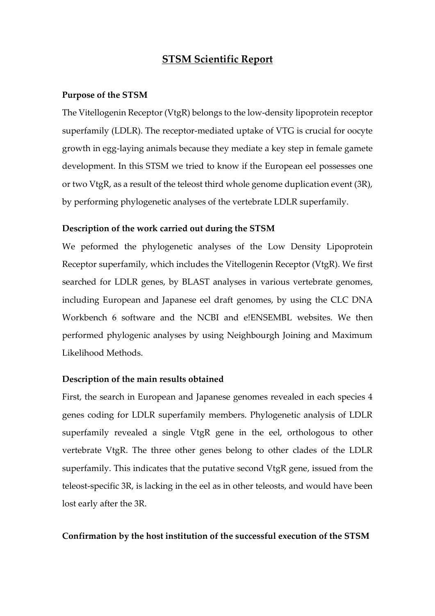# **STSM Scientific Report**

## **Purpose of the STSM**

The Vitellogenin Receptor (VtgR) belongs to the low-density lipoprotein receptor superfamily (LDLR). The receptor-mediated uptake of VTG is crucial for oocyte growth in egg-laying animals because they mediate a key step in female gamete development. In this STSM we tried to know if the European eel possesses one or two VtgR, as a result of the teleost third whole genome duplication event (3R), by performing phylogenetic analyses of the vertebrate LDLR superfamily.

#### **Description of the work carried out during the STSM**

We peformed the phylogenetic analyses of the Low Density Lipoprotein Receptor superfamily, which includes the Vitellogenin Receptor (VtgR). We first searched for LDLR genes, by BLAST analyses in various vertebrate genomes, including European and Japanese eel draft genomes, by using the CLC DNA Workbench 6 software and the NCBI and e!ENSEMBL websites. We then performed phylogenic analyses by using Neighbourgh Joining and Maximum Likelihood Methods.

### **Description of the main results obtained**

First, the search in European and Japanese genomes revealed in each species 4 genes coding for LDLR superfamily members. Phylogenetic analysis of LDLR superfamily revealed a single VtgR gene in the eel, orthologous to other vertebrate VtgR. The three other genes belong to other clades of the LDLR superfamily. This indicates that the putative second VtgR gene, issued from the teleost-specific 3R, is lacking in the eel as in other teleosts, and would have been lost early after the 3R.

#### **Confirmation by the host institution of the successful execution of the STSM**